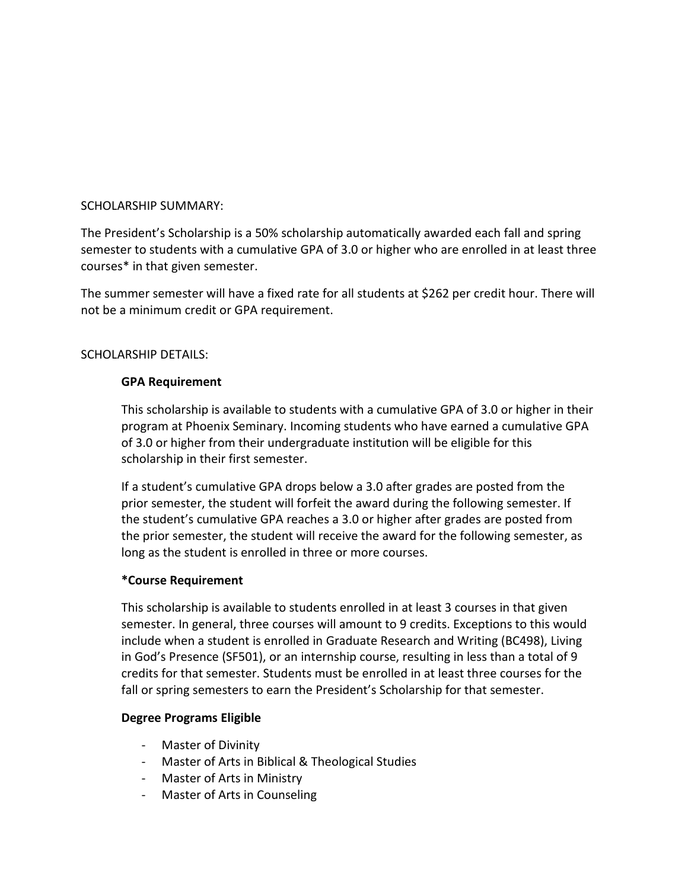## SCHOLARSHIP SUMMARY:

The President's Scholarship is a 50% scholarship automatically awarded each fall and spring semester to students with a cumulative GPA of 3.0 or higher who are enrolled in at least three courses\* in that given semester.

The summer semester will have a fixed rate for all students at \$262 per credit hour. There will not be a minimum credit or GPA requirement.

# SCHOLARSHIP DETAILS:

## **GPA Requirement**

This scholarship is available to students with a cumulative GPA of 3.0 or higher in their program at Phoenix Seminary. Incoming students who have earned a cumulative GPA of 3.0 or higher from their undergraduate institution will be eligible for this scholarship in their first semester.

If a student's cumulative GPA drops below a 3.0 after grades are posted from the prior semester, the student will forfeit the award during the following semester. If the student's cumulative GPA reaches a 3.0 or higher after grades are posted from the prior semester, the student will receive the award for the following semester, as long as the student is enrolled in three or more courses.

## **\*Course Requirement**

This scholarship is available to students enrolled in at least 3 courses in that given semester. In general, three courses will amount to 9 credits. Exceptions to this would include when a student is enrolled in Graduate Research and Writing (BC498), Living in God's Presence (SF501), or an internship course, resulting in less than a total of 9 credits for that semester. Students must be enrolled in at least three courses for the fall or spring semesters to earn the President's Scholarship for that semester.

# **Degree Programs Eligible**

- Master of Divinity
- Master of Arts in Biblical & Theological Studies
- Master of Arts in Ministry
- Master of Arts in Counseling